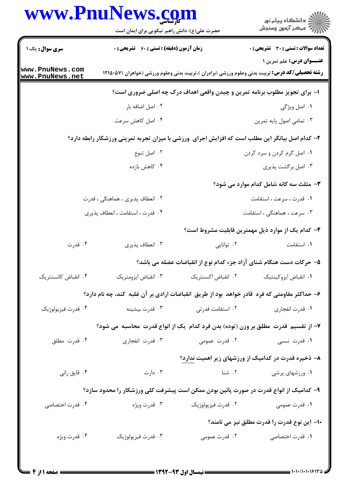## WWW DnuNawe com

|                                                                            | حضرت علی(ع): دانش راهبر نیکویی برای ایمان است                                                                  |                                                                       | ≧ دانشگاه پيام نو <b>ر</b><br>۽ '' مرڪز آزمون وسنڊش |  |  |
|----------------------------------------------------------------------------|----------------------------------------------------------------------------------------------------------------|-----------------------------------------------------------------------|-----------------------------------------------------|--|--|
| سری سوال: یک ۱                                                             | <b>زمان آزمون (دقیقه) : تستی : 60 ٪ تشریحی : 0</b>                                                             |                                                                       | تعداد سوالات : تستي : 30 ٪ تشريحي : 0               |  |  |
| www.PnuNews.com<br>www.PnuNews.net                                         | <b>رشته تحصیلی/کد درس:</b> تربیت بدنی وعلوم ورزشی (برادران )،تربیت بدنی وعلوم ورزشی (خواهران )۵۷ <b>۰</b> ۵۷ ا |                                                                       | <b>عنـــوان درس:</b> علم تمرین ۱                    |  |  |
| ا– برای تجویز مطلوب برنامه تمرین و چیدن واقعی اهداف درک چه اصلی ضروری است؟ |                                                                                                                |                                                                       |                                                     |  |  |
|                                                                            | ۰۲ اصل اضافه بار                                                                                               |                                                                       | ۰۱ اصل ویژگی                                        |  |  |
|                                                                            | ۰۴ اصل کاهش سرعت                                                                                               |                                                                       | ۰۳ تمامی اصول پایه تمرین                            |  |  |
|                                                                            | ۲- کدام اصل بیانگر این مطلب است که افزایش اجرای ورزشی با میزان تجربه تمرینی ورزشکار رابطه دارد؟                |                                                                       |                                                     |  |  |
|                                                                            | ۰۲ اصل تنوع                                                                                                    |                                                                       | ۰۱ اصل گرم کردن و سرد کردن                          |  |  |
|                                                                            | ۰۴ کاهش بازده                                                                                                  |                                                                       | ۰۳ اصل برگشت پذیری                                  |  |  |
|                                                                            |                                                                                                                |                                                                       | ۳- مثلث سه گانه شامل کدام موارد می شود؟             |  |  |
|                                                                            | ۰۲ انعطاف پذیری ، هماهنگی ، قدرت                                                                               |                                                                       | ٠١ قدرت ، سرعت ، استقامت                            |  |  |
|                                                                            | ۰۴ قدرت ، استقامت ، انعطاف پذیری                                                                               |                                                                       | ۰۳ سرعت ، هماهنگی ، استقامت                         |  |  |
|                                                                            |                                                                                                                |                                                                       | ۴– کدام یک از موارد ذیل مهمترین قابلیت مشروط است؟   |  |  |
| ۰۴ قدرت                                                                    | ۰۳ انعطاف پذیری                                                                                                | ۰۲ توانایی                                                            | ٠١. استقامت                                         |  |  |
|                                                                            |                                                                                                                | ۵– حرکات دست هنگام شنای آزاد جزء کدام نوع از انقباضات عضله می باشد؟   |                                                     |  |  |
| ۰۴ انقباض کانسنتریک                                                        |                                                                                                                | ٠١ انقباض ايزوكينتيك مسمع ٢٠ انقباض اكسنتريك مسمع ٢٠ انقباض ايزومتريك |                                                     |  |  |
|                                                                            | ۶– حداکثر مقاومتی که فرد قادر خواهد بود از طریق انقباضات ارادی بر آن غلبه کند، چه نام دارد؟                    |                                                                       |                                                     |  |  |
| ۰۴ قدرت فيزيولوژيک                                                         | قدرت بيشينه $\cdot$                                                                                            | ۰۲ استقامت قدرتی                                                      | ٠١ قدرت انفجاري                                     |  |  |
|                                                                            | ۷– از تقسیم قدرت مطلق بر وزن (توده) بدن فرد کدام یک از انواع قدرت محاسبه می شود؟                               |                                                                       |                                                     |  |  |
| ۰۴ قدرت مطلق                                                               | ۰۳ قدرت انفجاري                                                                                                | ۰۲ قدرت عمومی                                                         | ۰۱ قدرت نسبی                                        |  |  |
|                                                                            |                                                                                                                |                                                                       | ۸– ذخیره قدرت در کدامیک از ورزشهای زیر اهمیت ندارد؟ |  |  |
| ۰۴ قایق رانی                                                               | ۰۳ دارت                                                                                                        | ۰۲ شنا                                                                | ۰۱ ورزشهای پرشی                                     |  |  |
|                                                                            | ۹– کدامیک از انواع قدرت در صورت پائین بودن ممکن است پیشرفت کلی ورزشکار را محدود سازد؟                          |                                                                       |                                                     |  |  |
| ۰۴ قدرت اختصاصی                                                            | ۰۳ قدرت ویژه                                                                                                   | ۲. قدرت فيزيولوژيک                                                    | ١. قدرت عمومي                                       |  |  |
|                                                                            | ۱۰– این نوع قدرت را قدرت مطلق نیز می نامند؟                                                                    |                                                                       |                                                     |  |  |
| ۰۴ قدرت ويژه                                                               | ۰۳ قدرت فيزيولوژيک                                                                                             | ۰۲ قدرت عمومی                                                         | ۰۱ قدرت اختصاصی                                     |  |  |
|                                                                            |                                                                                                                |                                                                       |                                                     |  |  |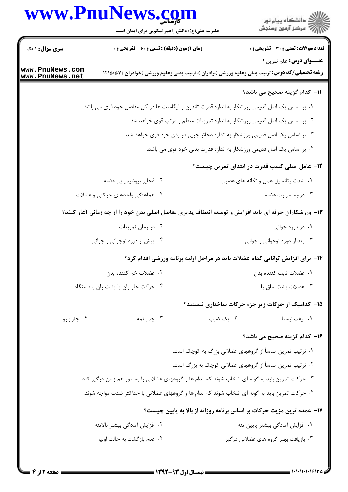|                                    | www.PnuNews.com<br>حضرت علی(ع): دانش راهبر نیکویی برای ایمان است                                      |                                                                               | ڪ دانشڪاه پيام نور<br><mark>ر</mark> ⊽ مرڪز آزمون وسنڊش                        |
|------------------------------------|-------------------------------------------------------------------------------------------------------|-------------------------------------------------------------------------------|--------------------------------------------------------------------------------|
| <b>سری سوال : ۱ یک</b>             | <b>زمان آزمون (دقیقه) : تستی : 60 ٪ تشریحی : 0</b>                                                    |                                                                               | تعداد سوالات : تستى : 30 قشريحى : 0                                            |
| www.PnuNews.com<br>www.PnuNews.net | <b>رشته تحصیلی/کد درس:</b> تربیت بدنی وعلوم ورزشی (برادران )،تربیت بدنی وعلوم ورزشی (خواهران )۵۷-۱۲۱۵ |                                                                               | <b>عنـــوان درس:</b> علم تمرین ۱                                               |
|                                    |                                                                                                       |                                                                               | 11– كدام گزينه صحيح مي باشد؟                                                   |
|                                    | ۰۱ بر اساس یک اصل قدیمی ورزشکار به اندازه قدرت تاندون و لیگامنت ها در کل مفاصل خود قوی می باشد.       |                                                                               |                                                                                |
|                                    |                                                                                                       | ۰۲ بر اساس یک اصل قدیمی ورزشکار به اندازه تمرینات منظم و مرتب قوی خواهد شد.   |                                                                                |
|                                    |                                                                                                       | ۰۳ بر اساس یک اصل قدیمی ورزشکار به اندازه ذخائر چربی در بدن خود قوی خواهد شد. |                                                                                |
|                                    |                                                                                                       | ۰۴ بر اساس یک اصل قدیمی ورزشکار به اندازه قدرت بدنی خود قوی می باشد.          |                                                                                |
|                                    |                                                                                                       |                                                                               | <b>۱۲</b> – عامل اصلی کسب قدرت در ابتدای تمرین چیست؟                           |
|                                    | ۰۲ ذخایر بیوشیمیایی عضله.                                                                             |                                                                               | ۰۱ شدت پتانسیل عمل و تکانه های عصبی.                                           |
|                                    | ۰۴ هماهنگی واحدهای حرکتی و عضلات.                                                                     |                                                                               | ۰۳ درجه حرارت عضله                                                             |
|                                    | ۱۳- ورزشکاران حرفه ای باید افزایش و توسعه انعطاف پذیری مفاصل اصلی بدن خود را از چه زمانی آغاز کنند؟   |                                                                               |                                                                                |
|                                    | ۰۲ در زمان تمرینات                                                                                    |                                                                               | ۰۱ در دوره جوانی                                                               |
|                                    | ۰۴ پیش از دوره نوجوانی و جوانی                                                                        |                                                                               | ۰۳ بعد از دوره نوجوانی و جوانی                                                 |
|                                    |                                                                                                       |                                                                               | ۱۴– برای افزایش توانایی کدام عضلات باید در مراحل اولیه برنامه ورزشی اقدام کرد؟ |
|                                    | ۰۲ عضلات خم کننده بدن                                                                                 |                                                                               | ٠١. عضلات ثابت كننده بدن                                                       |
|                                    | ۰۴ حرکت جلو ران یا پشت ران با دستگاه                                                                  |                                                                               | ٠٣ عضلات پشت ساق پا                                                            |
|                                    |                                                                                                       |                                                                               | ۱۵– کدامیک از حرکات زیر جزء حرکات ساختاری نیستند؟                              |
| ۰۴ جلو بازو                        | ۰۳ چمباتمه                                                                                            | ۰۲ یک ضرب                                                                     | ٠١ ليفت ايستا                                                                  |
|                                    |                                                                                                       |                                                                               | ۱۶– کدام گزینه صحیح می باشد؟                                                   |
|                                    |                                                                                                       | ۰۱ ترتیب تمرین اساساً از گروههای عضلانی بزرگ به کوچک است.                     |                                                                                |
|                                    |                                                                                                       | ۰۲ ترتیب تمرین اساساً از گروههای عضلانی کوچک به بزرگ است.                     |                                                                                |
|                                    | ۰۳ حرکات تمرین باید به گونه ای انتخاب شوند که اندام ها و گروههای عضلانی را به طور هم زمان درگیر کند.  |                                                                               |                                                                                |
|                                    | ۰۴ حرکات تمرین باید به گونه ای انتخاب شوند که اندام ها و گروههای عضلانی با حداکثر شدت مواجه شوند.     |                                                                               |                                                                                |
|                                    |                                                                                                       |                                                                               | ۱۷- عمده ترین مزیت حرکات بر اساس برنامه روزانه از بالا به پایین چیست؟          |
|                                    | ۰۲ افزایش آمادگی بیشتر بالاتنه                                                                        |                                                                               | ۰۱ افزایش آمادگی بیشتر پایین تنه                                               |
|                                    | ۰۴ عدم بازگشت به حالت اوليه                                                                           |                                                                               | ۰۳ بازیافت بهتر گروه های عضلانی درگیر                                          |
|                                    |                                                                                                       |                                                                               |                                                                                |

 $\blacksquare$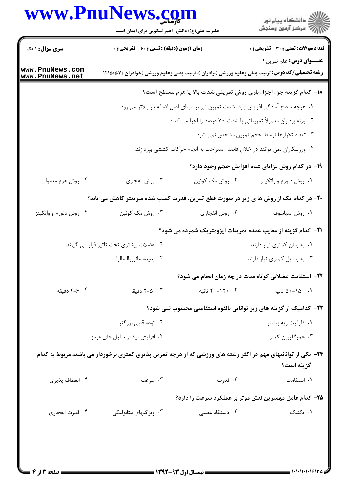## www.PnuNews.com

|                                    | www.PnuNews.com<br>حضرت علی(ع): دانش راهبر نیکویی برای ایمان است                                              |                        | گ دانشگاه پيام نور<br>//<br>//                                                                                                                     |  |  |
|------------------------------------|---------------------------------------------------------------------------------------------------------------|------------------------|----------------------------------------------------------------------------------------------------------------------------------------------------|--|--|
| <b>سری سوال : ۱ یک</b>             | زمان آزمون (دقیقه) : تستی : 60 ٪ تشریحی : 0                                                                   |                        | <b>تعداد سوالات : تستی : 30 - تشریحی : 0</b>                                                                                                       |  |  |
| www.PnuNews.com<br>www.PnuNews.net |                                                                                                               |                        | <b>عنـــوان درس:</b> علم تمرین ۱<br><b>رشته تحصیلی/کد درس:</b> تربیت بدنی وعلوم ورزشی (برادران )،تربیت بدنی وعلوم ورزشی (خواهران )۱۲۱۵۰۵۷ <b>(</b> |  |  |
|                                    |                                                                                                               |                        | 18- كدام گزینه جزء اجزاء باری روش تمرینی شدت بالا یا هرم مسطح است؟                                                                                 |  |  |
|                                    | ۰۱ هرچه سطح آمادگی افزایش یابد، شدت تمرین نیز بر مبنای اصل اضافه بار بالاتر می رود.                           |                        |                                                                                                                                                    |  |  |
|                                    | ۰۲ وزنه برداران معمولاً تمریناتی با شدت ۷۰ درصد را اجرا می کنند.                                              |                        |                                                                                                                                                    |  |  |
|                                    | ۰۳ تعداد تکرارها توسط حجم تمرین مشخص نمی شود.                                                                 |                        |                                                                                                                                                    |  |  |
|                                    | ۰۴ ورزشکاران نمی توانند در خلال فاصله استراحت به انجام حرکات کششی بپردازند.                                   |                        |                                                                                                                                                    |  |  |
|                                    |                                                                                                               |                        | ۱۹- در کدام روش مزایای عدم افزایش حجم وجود دارد؟                                                                                                   |  |  |
| ۰۴ روش هرم معمولی                  | ۰۳ روش انفجاري                                                                                                | ۰۲ روش مک کوئین        | ۰۱ روش دلورم و واتکینز                                                                                                                             |  |  |
|                                    | ۲۰- در کدام یک از روش ها ی زیر در صورت قطع تمرین، قدرت کسب شده سریعتر کاهش می یابد؟                           |                        |                                                                                                                                                    |  |  |
| ۰۴ روش دلورم و واتکینز             | ۰۳ روش مک کوئین                                                                                               | ۰۲ روش انفجاري         | ٠١ روش اسپاسوف                                                                                                                                     |  |  |
|                                    |                                                                                                               |                        | <b>۳۱</b> - کدام گزینه از معایب عمده تمرینات ایزومتریک شمرده می شود؟                                                                               |  |  |
|                                    | ۰۲ عضلات بیشتری تحت تاثیر قرار می گیرند                                                                       |                        | ۰۱ به زمان کمتری نیاز دارند                                                                                                                        |  |  |
|                                    | ۰۴ پدیده مانوروالسالوا                                                                                        |                        | ۰۳ به وسایل کمتری نیاز دارند                                                                                                                       |  |  |
|                                    |                                                                                                               |                        | <b>۲۲</b> – استقامت عضلانی کوتاه مدت در چه زمان انجام می شود؟                                                                                      |  |  |
| ۰۴ ج-۴ دقیقه                       | ۰۳ - ۲-۵ دقیقه                                                                                                | ۰۲ - ۴۰–۴۰ ثانیه       | ۰۱ - ۱۵۰–۵۰ ثانیه                                                                                                                                  |  |  |
|                                    |                                                                                                               |                        | ۲۳– کدامیک از گزینه های زیر توانایی بالقوه استقامتی محسوب نمی شود؟                                                                                 |  |  |
|                                    | ۰۲ توده قلبی بزرگتر                                                                                           |                        | ٠١ ظرفيت ريه بيشتر                                                                                                                                 |  |  |
|                                    | ۰۴ افزایش بیشتر سلول های قرمز                                                                                 |                        | ۰۳ هموگلوبين كمتر                                                                                                                                  |  |  |
|                                    | ۲۴– یکی از توانائیهای مهم در اکثر رشته های ورزشی که از درجه تمرین پذیری کمتری برخوردار می باشد، مربوط به کدام |                        | گزينه است؟                                                                                                                                         |  |  |
| ۰۴ انعطاف پذیری                    | ۰۳ سرعت                                                                                                       | ۰۲ قدرت                | ٠١ استقامت                                                                                                                                         |  |  |
|                                    |                                                                                                               |                        | ۲۵– کدام عامل مهمترین نقش موثر بر عملکرد سرعت را دارد؟                                                                                             |  |  |
| ۰۴ قدرت انفجاري                    | ۰۳ ویژگیهای متابولیکی                                                                                         | ۰۲ دستگاه عصب <i>ی</i> | ۰۱ تکنیک                                                                                                                                           |  |  |